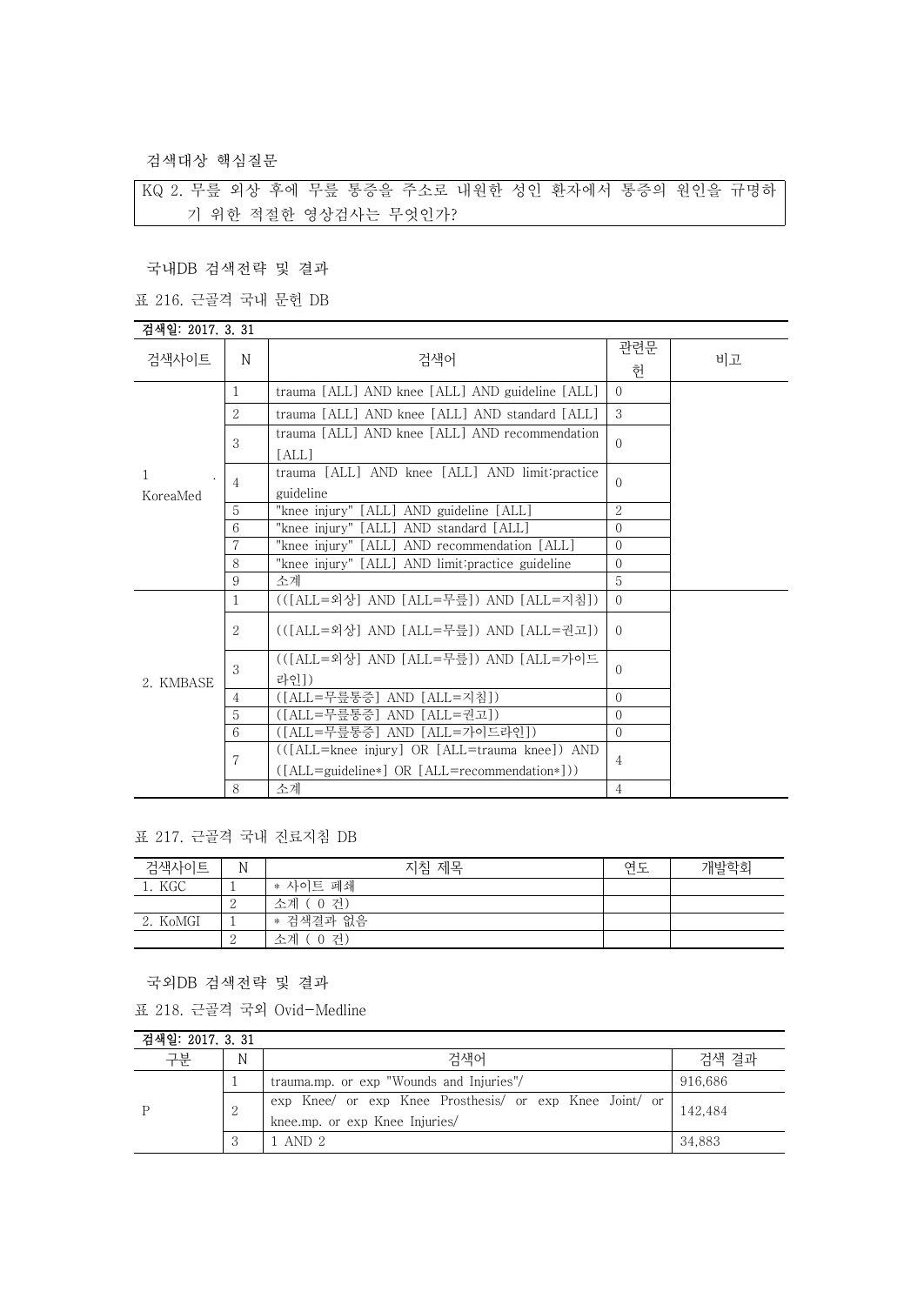검색대상 핵심질문

KQ 2. 무릎 외상 후에 무릎 통증을 주소로 내원한 성인 환자에서 통증의 원인을 규명하 기 위한 적절한 영상검사는 무엇인가?

국내DB 검색전략 및 결과

표 216. 근골격 국내 문헌 DB

## 검색일: 2017. 3. 31

| 검색사이트     | N              | 검색어                                                | 관련문<br>허      | 비고 |
|-----------|----------------|----------------------------------------------------|---------------|----|
|           | 1              | trauma [ALL] AND knee [ALL] AND guideline [ALL]    | $\Omega$      |    |
|           | $\overline{2}$ | trauma [ALL] AND knee [ALL] AND standard [ALL]     | 3             |    |
|           | 3              | trauma [ALL] AND knee [ALL] AND recommendation     | $\Omega$      |    |
|           |                | [ALL]                                              |               |    |
| 1         | 4              | trauma [ALL] AND knee [ALL] AND limit: practice    | $\Omega$      |    |
| KoreaMed  |                | guideline                                          |               |    |
|           | 5              | "knee injury" [ALL] AND guideline [ALL]            | $\mathcal{L}$ |    |
|           | 6              | "knee injury" [ALL] AND standard [ALL]             | $\Omega$      |    |
|           | 7              | "knee injury" [ALL] AND recommendation [ALL]       | $\Omega$      |    |
|           | 8              | "knee injury" [ALL] AND limit: practice guideline  | $\Omega$      |    |
|           | 9              | 소계                                                 | 5             |    |
|           | 1              | (([ALL=외상] AND [ALL=무릎]) AND [ALL=지침])             | $\Omega$      |    |
|           | $\overline{2}$ | (([ALL=외상] AND [ALL=무릎]) AND [ALL=권고])             | $\Omega$      |    |
|           | 3              | (([ALL=외상] AND [ALL=무릎]) AND [ALL=가이드              | $\Omega$      |    |
| 2. KMBASE |                | 라인])                                               |               |    |
|           | $\overline{4}$ | ([ALL=무릎통증] AND [ALL=지침])                          | $\Omega$      |    |
|           | 5              | ([ALL=무릎통증] AND [ALL=권고])                          | $\Omega$      |    |
|           | 6              | ([ALL=무릎통증] AND [ALL=가이드라인])                       | $\Omega$      |    |
|           | 7              | (([ALL=knee injury] OR [ALL=trauma knee]) AND      |               |    |
|           |                | $([ALL = guideline*] OR [ALL = recommendation*]))$ | 4             |    |
|           | 8              | 소계                                                 | 4             |    |

#### 표 217. 근골격 국내 진료지침 DB

| 검색사이트    | N | 지침 제목          | 연도 | 개발학회 |
|----------|---|----------------|----|------|
| 1. KGC   |   | * 사이트 폐쇄       |    |      |
|          | ↩ | 소계 (0 건)       |    |      |
| 2. KoMGI |   | * 검색결과 없음      |    |      |
|          |   | ( 0 건)<br>소계 ( |    |      |

국외DB 검색전략 및 결과

표 218. 근골격 국외 Ovid-Medline

| 검색일: 2017. 3. 31 |   |                                                                                           |         |  |
|------------------|---|-------------------------------------------------------------------------------------------|---------|--|
| 구분               | N | 검색어                                                                                       | 검색 결과   |  |
|                  |   | trauma.mp. or exp "Wounds and Injuries"/                                                  | 916.686 |  |
|                  | 2 | exp Knee/ or exp Knee Prosthesis/ or exp Knee Joint/ or<br>knee.mp. or exp Knee Injuries/ | 142,484 |  |
|                  | 3 | 1 AND 2                                                                                   | 34.883  |  |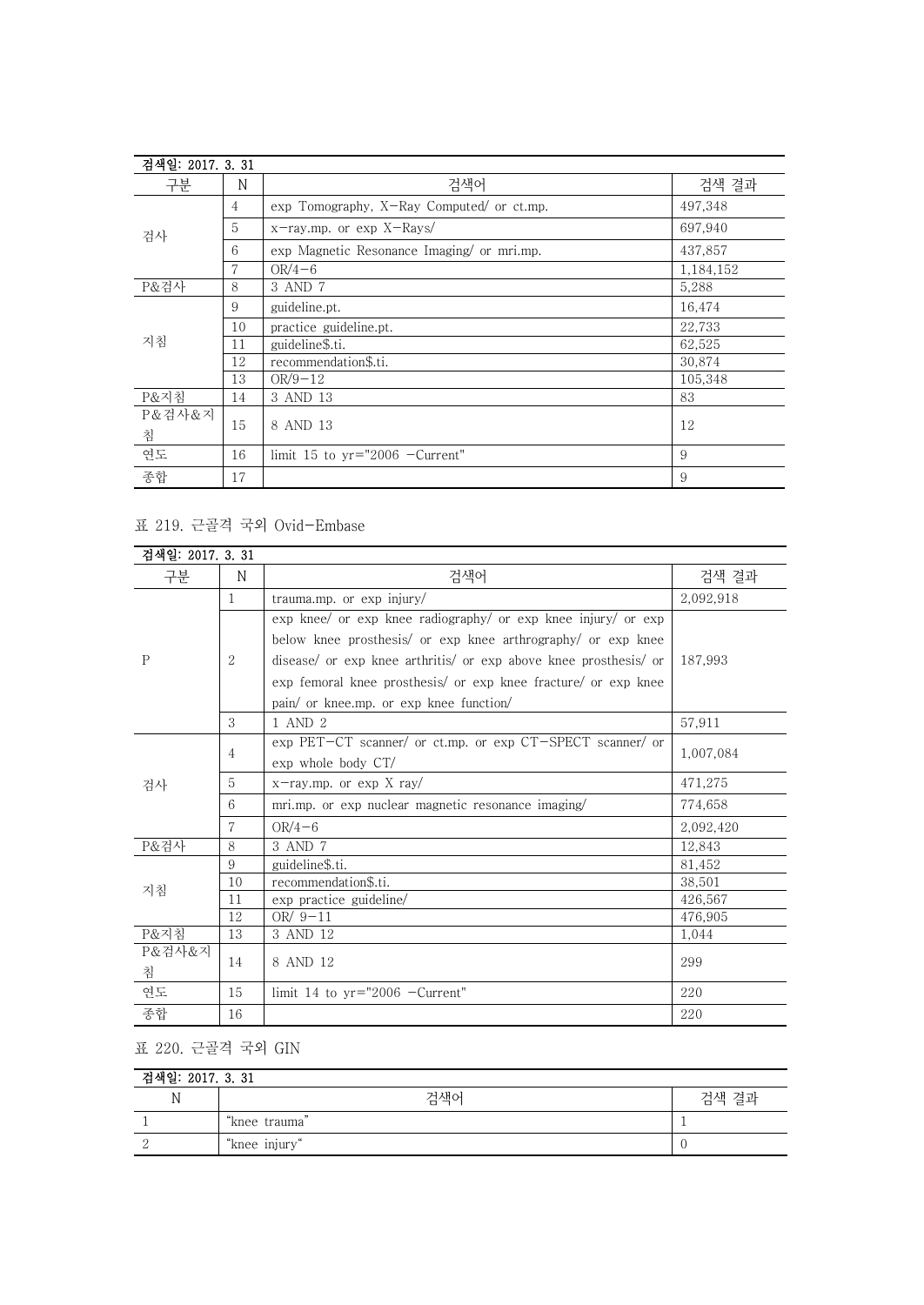| 검색일: 2017. 3. 31 |    |                                            |           |
|------------------|----|--------------------------------------------|-----------|
| 구분               | N  | 검색어                                        | 검색 결과     |
| 검사               | 4  | exp Tomography, X-Ray Computed/ or ct.mp.  | 497,348   |
|                  | 5  | x-ray.mp. or exp X-Rays/                   | 697,940   |
|                  | 6  | exp Magnetic Resonance Imaging/ or mri.mp. | 437,857   |
|                  | 7  | $OR/4-6$                                   | 1,184,152 |
| P&검사             | 8  | 3 AND 7                                    | 5,288     |
|                  | 9  | guideline.pt.                              | 16,474    |
|                  | 10 | practice guideline.pt.                     | 22,733    |
| 지침               | 11 | guideline\$.ti.                            | 62,525    |
|                  | 12 | recommendation\$.ti.                       | 30,874    |
|                  | 13 | $OR/9-12$                                  | 105,348   |
| P&지침             | 14 | 3 AND 13                                   | 83        |
| P&검사&지           | 15 |                                            | 12        |
| 침                |    | 8 AND 13                                   |           |
| 연도               | 16 | limit 15 to $yr="2006$ -Current"           | 9         |
| 종합               | 17 |                                            | 9         |

### 표 219. 근골격 국외 Ovid-Embase

| 검색일: 2017, 3, 31 |    |                                                                  |           |  |
|------------------|----|------------------------------------------------------------------|-----------|--|
| 구분               | N  | 검색어                                                              | 검색 결과     |  |
|                  | 1  | trauma.mp. or $\exp$ injury/                                     | 2,092,918 |  |
|                  |    | exp knee/ or exp knee radiography/ or exp knee injury/ or exp    |           |  |
|                  |    | below knee prosthesis/ or exp knee arthrography/ or exp knee     |           |  |
| P                | 2  | disease/ or exp knee arthritis/ or exp above knee prosthesis/ or | 187.993   |  |
|                  |    | exp femoral knee prosthesis/ or exp knee fracture/ or exp knee   |           |  |
|                  |    | pain/ or knee.mp. or exp knee function/                          |           |  |
|                  | 3  | 1 AND 2                                                          | 57,911    |  |
|                  | 4  | exp PET-CT scanner/ or ct.mp. or exp CT-SPECT scanner/ or        | 1,007,084 |  |
|                  |    | exp whole body CT/                                               |           |  |
| 검사               | 5  | $x$ -ray.mp. or exp X ray/                                       | 471,275   |  |
|                  | 6  | mri.mp. or exp nuclear magnetic resonance imaging                | 774,658   |  |
|                  | 7  | $OR/4-6$                                                         | 2,092,420 |  |
| P&검사             | 8  | 3 AND 7                                                          | 12.843    |  |
|                  | 9  | guideline\$.ti.                                                  | 81,452    |  |
|                  | 10 | recommendation\$.ti.                                             | 38.501    |  |
| 지침               | 11 | exp practice guideline/                                          | 426.567   |  |
|                  | 12 | OR $/9-11$                                                       | 476,905   |  |
| P&지침             | 13 | 3 AND 12                                                         | 1,044     |  |
| P&검사&지<br>침      | 14 | 8 AND 12                                                         | 299       |  |
| 연도               | 15 | limit 14 to $yr="2006$ -Current"                                 | 220       |  |
| 종합               | 16 |                                                                  | 220       |  |

# 표 220. 근골격 국외 GIN

| 검색일: 2017. 3. 31 |               |       |  |
|------------------|---------------|-------|--|
| N                | 검색어           | 검색 결과 |  |
|                  | "knee trauma" |       |  |
|                  | "knee injury" |       |  |